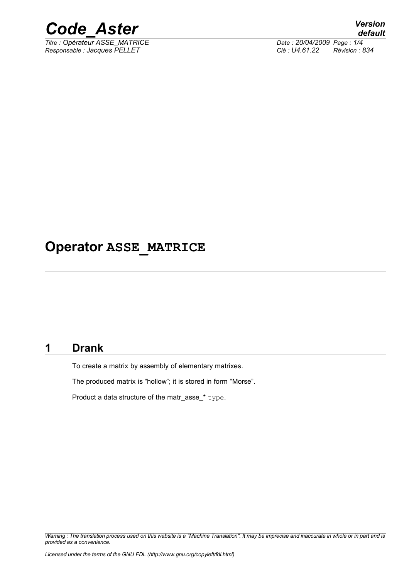

*Titre : Opérateur ASSE\_MATRICE Date : 20/04/2009 Page : 1/4 Responsable : Jacques PELLET Clé : U4.61.22 Révision : 834*

### **Operator ASSE\_MATRICE**

#### **1 Drank**

To create a matrix by assembly of elementary matrixes.

The produced matrix is "hollow"; it is stored in form "Morse".

Product a data structure of the matr\_asse\_\* type.

*Warning : The translation process used on this website is a "Machine Translation". It may be imprecise and inaccurate in whole or in part and is provided as a convenience.*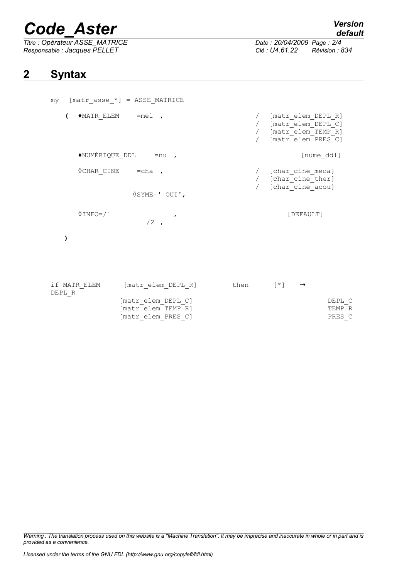# *Code\_Aster Version*

*Titre : Opérateur ASSE\_MATRICE Date : 20/04/2009 Page : 2/4 Responsable : Jacques PELLET Clé : U4.61.22 Révision : 834*

*default*

### **2 Syntax**

|                                  | $my$ [matr asse $*$ ] = ASSE MATRICE                           |                                |                                                                                          |                  |
|----------------------------------|----------------------------------------------------------------|--------------------------------|------------------------------------------------------------------------------------------|------------------|
| $\sqrt{2}$                       | $\triangle$ MATR ELEM = mel,                                   |                                | [matr elem DEPL R]<br>/ [matr elem DEPL C]<br>/ [matr elem TEMP R]<br>[matr elem PRES C] |                  |
| $\triangle$ NUMÉRIQUE DDL = nu , | [nume_ddl]                                                     |                                |                                                                                          |                  |
| $\Diamond$ CHAR CINE = cha ,     |                                                                |                                | / [char cine meca]<br>/ [char cine ther]<br>[char cine acou]                             |                  |
|                                  | $\Diamond$ SYME=' OUI',                                        |                                |                                                                                          |                  |
| $0$ INFO= $/1$                   | $\overline{ }$<br>$/2$ ,                                       |                                | [DEFAULT]                                                                                |                  |
| )                                |                                                                |                                |                                                                                          |                  |
| if MATR ELEM<br>DEPL R           | [matr elem DEPL R]<br>[matr elem DEPL C]<br>[matr elem TEMP R] | then $[\star] \longrightarrow$ |                                                                                          | DEPL C<br>TEMP R |
|                                  | [matr elem PRES C]                                             |                                |                                                                                          | PRES C           |

 $[\text{matr\_elem\_PRES\_C}]$ 

*Warning : The translation process used on this website is a "Machine Translation". It may be imprecise and inaccurate in whole or in part and is provided as a convenience.*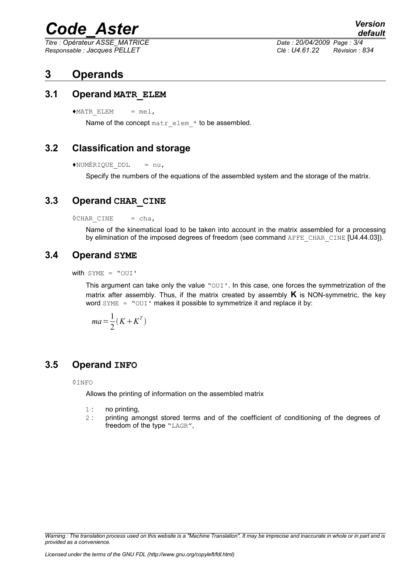## *Code\_Aster Version*

*Responsable : Jacques PELLET Clé : U4.61.22 Révision : 834*

*Titre : Opérateur ASSE\_MATRICE Date : 20/04/2009 Page : 3/4*

*default*

#### **3 Operands**

#### **3.1 Operand MATR\_ELEM**

 $*$ MATR ELEM = mel,

Name of the concept matr elem \* to be assembled.

#### **3.2 Classification and storage**

 $\triangle$ NUMÉRIQUE DDL = nu,

Specify the numbers of the equations of the assembled system and the storage of the matrix.

#### **3.3 Operand CHAR\_CINE**

 $\Diamond$ CHAR CINE = cha,

Name of the kinematical load to be taken into account in the matrix assembled for a processing by elimination of the imposed degrees of freedom (see command AFFE\_CHAR\_CINE [U4.44.03]).

#### **3.4 Operand SYME**

with SYME = "OUI'

This argument can take only the value  $\text{``out\text{''}}$ . In this case, one forces the symmetrization of the matrix after assembly. Thus, if the matrix created by assembly **K** is NON-symmetric, the key word  $\text{SYME}$  = " $\text{OUT}$ " makes it possible to symmetrize it and replace it by:

$$
ma = \frac{1}{2}(K + K^T)
$$

#### **3.5 Operand INFO**

◊INFO

Allows the printing of information on the assembled matrix

- 1 : no printing,
- 2 : printing amongst stored terms and of the coefficient of conditioning of the degrees of freedom of the type "LAGR",

*Warning : The translation process used on this website is a "Machine Translation". It may be imprecise and inaccurate in whole or in part and is provided as a convenience.*